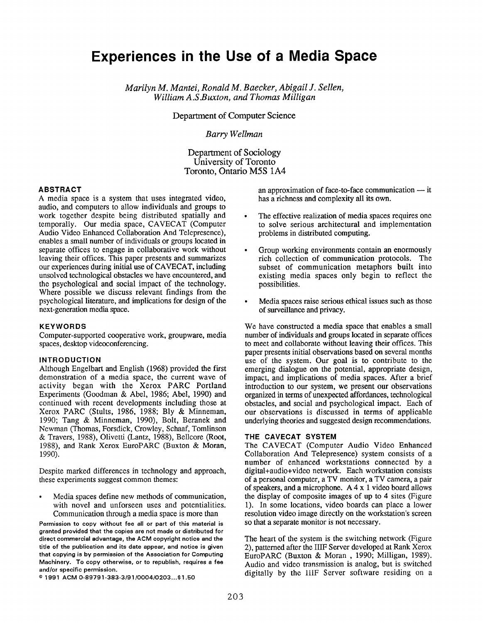# Experiences in the Use of a Media Space

Marilyn M. Mantei, Ronald M. Baecker, Abigail J. Sellen, William A.S.Buxton, and Thomas Milligan

Department of Computer Science

Barry Wellman

Department of Sociology University of Toronto Toronto, Ontario M5S 1A4

#### ABSTRACT

A media space is a system that uses integrated video, audio, and computers to allow individuals and groups to work together despite being distributed spatially and temporally. Our media space, CAVECAT (Computer Audio Video Enhanced Collaboration And Telepresence), enables a small number of individuals or groups located in separate offices to engage in collaborative work without leaving their offices. This paper presents and summarizes our experiences during initial use of CAVECAT, including unsolved technological obstacles we have encountered, and the psychological and social impact of the technology. Where possible we discuss relevant findings from the psychological literature, and implications for design of the next-generation media space.

#### KEYWORDS

Computer-supported cooperative work, groupware, media spaces, desktop videoconferencing.

#### INTRODUCTION

Although Engelbart and English (1968) provided the first demonstration of a media space, the current wave of activity began with the Xerox PARC Portland Experiments (Goodman & Abel, 1986; Abel, 1990) and continued with recent developments including those at Xerox PARC (Stults, 1986, 1988; Bly & Minneman, 1990; Tang & Minneman, 1990), Bolt, Beranek and Newman (Thomas, Forsdick, Crowley, Schaaf, Tomlinson & Travers, 1988), Olivetti (Lantz, 1988), Bellcore (Root, 1988), and Rank Xerox EuroPARC (Buxton & Moran, 1990).

Despite marked differences in technology and approach, these experiments suggest common themes:

. Media spaces define new methods of communication, with novel and unforseen uses and potentialities. Communication through a media space is more than

Permission to copy without fee all or part of this material is granted provided that the copies are not made or distributed for direct commercial advantage, the ACM copyright notice and the title of the publication and its date appear, and notice is given that copying is by permission of the Association for Computing Machinary. To copy otherwise, or to republish, requires a fea and/or specific permission.

Q 1991 ACM 0-89791-383-3/91 /0004/0203 . ..\$1 .50

an approximation of face-to-face communication — it has a richness and complexity all its own.

- $\bullet$ The effective realization of media spaces requires one to solve serious architectural and implementation problems in distributed computing.
- ✎ Group working environments contain an enormously rich collection of communication protocols. The subset of communication metaphors built into existing media spaces only begin to reflect the possibilities.
- Media spaces raise serious ethical issues such as those of surveillance and privacy.

We have constructed a media space that enables a small number of individuals and groups located in separate offices to meet and collaborate without leaving their offices. This paper presents initial observations based on several months use of the system. Our goal is to contribute to the emerging dialogue on the potential, appropriate design, impact, and implications of media spaces. After a brief introduction to our system, we present our observations organized in terms of unexpected affordances, technological obstacles, and social and psychological impact. Each of our observations is discussed in terms of applicable underlying theories and suggested design recommendations.

## THE CAVECAT SYSTEM

The CAVECAT (Computer Audio Video Enhanced Collaboration And Telepresence) system consists of a number of enhanced workstations connected by a digital+audio+video network. Each workstation consists of a personal computer, a TV monitor, a TV camera, a pair of speakers, and a microphone. A 4 x 1 video board allows the display of composite images of up to 4 sites (Figure 1). In some locations, video boards can place a lower resolution video image directly on the workstation's screen so that a separate monitor is not necessary.

The heart of the system is the switching network (Figure 2), patterned after the IIIF Server developed at Rank Xerox EuroPARC (Buxton & Moran , 1990; Milligan, 1989). Audio and video transmission is analog, but is switched digitally by the lIIF Server software residing on a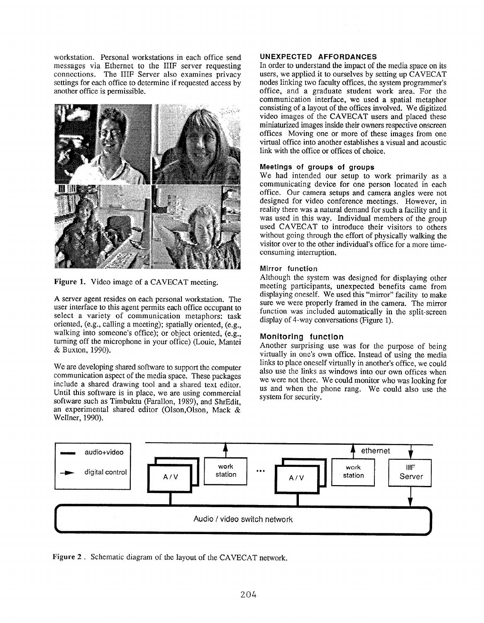workstation. Personal workstations in each office send messages via Ethernet to the IIIF server requesting connections. The IIIF Server also examines privacy settings for each office to determine if requested access by another office is permissible.



Figure 1. Video image of a CAVECAT meeting.

A server agent resides on each personal workstation. The user interface to this agent permits each office occupant to select a variety of communication metaphors: task oriented, (e.g., calling a meeting); spatially oriented, (e.g., walking into someone's office); or object oriented, (e.g., turning off the microphone in your office) (Louie, Mantei & Buxton, 1990),

We are developing shared software to support the computer communication aspect of the media space. These packages include a shared drawing tool and a shared text editor, Until this software is in place, we are using commercial software such as Timbuktu (Farallon, 1989), and ShrEdit, an experimental shared editor (Olson, Olson, Mack & Wellner, 1990).

#### UNEXPECTED AFFORDANCES

In order to understand the impact of the media space on its users, we applied it to ourselves by setting up CAVECAT nodes linking two faculty offices, the system programmer's office, and a graduate student work area. For the communication interface, we used a spatial metaphor consisting of a layout of the offices involved. We digitized video images of the CAVECAT users and placed these miniaturized images inside their owners respective onscreen offices Moving one or more of these images from one virtual office into another establishes a visual and acoustic link with the office or offices of choice,

## Meetings of groups of groups

We had intended our setup to work primarily as a communicating device for one person located in each office. Our camera setups and camera angles were not designed for video conference meetings, However, in reality there was a natural demand for such a facility and it was used in this way. Individual members of the group used CAVECAT to introduce their visitors to others without going through the effort of physically walking the visitor over to the other individwd's office for a more timeconsuming interruption.

## Mirror function

Although the system was designed for displaying other meeting participants, unexpected benefits came from displaying oneself. We used this "mirror" facility to make sure we were properly framed in the camera. The mirror function was included automatically in the split-screen display of 4-way conversations (Figure 1).

## Monitoring function

Another surprising use was for the purpose of being virtually in one's own office, Instead of using the media links to place oneself virtually in another's office, we could also use the links as windows into our own offices when we were not there. We could monitor who was looking for us and when the phone rang. We could also use the system for security.



Figure 2. Schematic diagram of the layout of the CAVECAT network.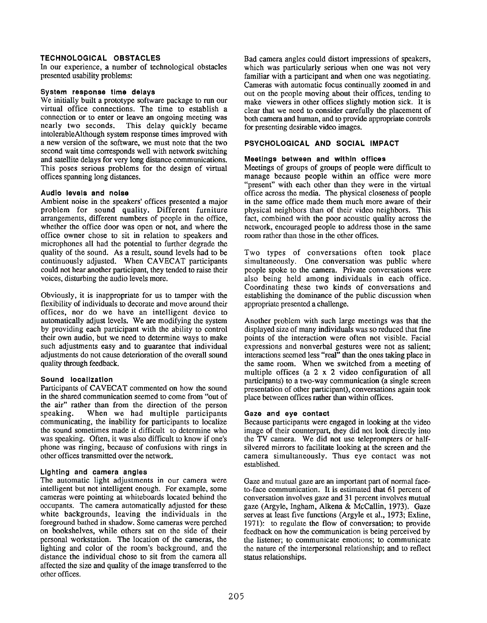#### TECHNOLOGICAL OBSTACLES

In our experience, a number of technological obstacles presented usability problems:

# System response time delays

We initially built a prototype software package to run our virtual office connections. The time to establish a connection or to enter or leave an ongoing meeting was nearly two seconds. This delay quickly became intolerableAlthough system response times improved with a new version of the software, we must note that the two second wait time corresponds well with network switching and satellite delays for very long distance communications. This poses serious problems for the design of virtual offices spanning long distances.

#### Audio levels and noise

Ambient noise in the speakers' offices presented a major problem for sound quality. Different furniture arrangements, different numbers of people in the office, whether the office door was open or not, and where the office owner chose to sit in relation to speakers and microphones all had the potential to further degrade the quality of the sound. As a result, sound levels had to be continuously adjusted. When CAVECAT participants could not hear another participant, they tended to raise their voices, disturbing the audio levels more.

Obviously, it is inappropriate for us to tamper with the flexibility of individuals to decorate and move around their offices, nor do we have an intelligent device to automatically adjust levels. We are modifying the system by providing each participant with the ability to control their own audio, but we need to determine ways to make such adjustments easy and to guarantee that individual adjustments do not cause deterioration of the overall sound quality through feedback.

#### Sound localization

Participants of CAVECAT commented on how the sound in the shared communication seemed to come from "out of the air" rather than from the direction of the person speaking. When we had multiple participants communicating, the inability for participants to localize the sound sometimes made it difficult to determine who was speaking. Often, it was also difficult to know if one's phone was ringing, because of confusions with rings in other offices transmitted over the network.

#### Lighting and camera angles

The automatic light adjustments in our camera were intelligent but not intelligent enough. For example, some cameras were pointing at whiteboards located behind the occupants. The camera automatically adjusted for these white backgrounds, leaving the individuals in the foreground bathed in shadow. Some cameras were perched on bookshelves, while others sat on the side of their personal workstation. The location of the cameras, the lighting and color of the room's background, and the distance the individual chose to sit from the camera all affected the size and quality of the image transferred to the other offices.

Bad camera angles could distort impressions of speakers, which was particularly serious when one was not very familiar with a participant and when one was negotiating. Cameras with automatic focus continually zoomed in and out on the people moving about their offices, tending to make viewers in other offices slightly motion sick. It is clear that we need to consider carefully the placement of both camera and human, and to provide appropriate controls for presenting desirable video images.

## PSYCHOLOGICAL AND SOCIAL IMPACT

#### Meetings between and within offices

Meetings of groups of groups of people were difficult to manage because people within an office were more "present" with each other than they were in the virtual office across the media. The physical closeness of people in the same office made them much more aware of their physical neighbors than of their video neighbors. This fact, combined with the poor acoustic quality across the network, encouraged people to address those in the same room rather than those in the other offices.

Two types of conversations often took place simultaneously. One conversation was public where people spoke to the camera. Private conversations were also being held among individuals in each office. Coordinating these two kinds of conversations and establishing the dominance of the public discussion when appropriate presented a challenge.

Another problem with such large meetings was that the displayed size of many individuals was so reduced that fine points of the interaction were often not visible. Facial expressions and nonverbal gestures were not as salient; interactions seemed less "real" than the ones taking place in the same room. When we switched from a meeting of multiple offices (a 2 x 2 video configuration of all participants) to a two-way communication (a single screen presentation of other participant), conversations again took place between offices rather than within offices.

#### Gaze and eye contact

Because participants were engaged in looking at the video image of their counterpart, they did not look directly into the TV camera. We did not use teleprompters or halfsilvered mirrors to facilitate looking at the screen and the camera simultaneously. Thus eye contact was not established.

Gaze and mutual gaze are an important part of normal faceto-face communication. It is estimated that 61 percent of conversation involves gaze and 31 percent involves mutual gaze (Argyle, Ingham, Alkena & McCallin, 1973), Gaze serves at least five functions (Argyle et al., 1973; Exline, 1971): to regulate the flow of conversation; to provide feedback on how the communication is being perceived by the listener; to communicate emotions; to communicate the nature of the interpersonal relationship; and to reflect status relationships.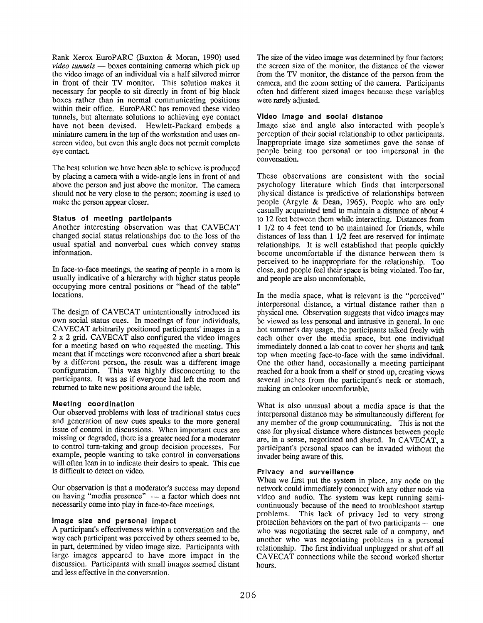Rank Xerox EuroPARC (Buxton & Moran, 1990) used video tunnels — boxes containing cameras which pick up the video image of an individual via a half silvered mirror in front of their TV monitor. This solution makes it necessary for people to sit directly in front of big black boxes rather than in normal communicating positions within their office. EuroPARC has removed these video tunnels, but alternate solutions to achieving eye contact have not been devised. Hewlett-Packard embeds a miniature camera in the top of the workstation and uses onscreen video, but even this angle does not permit complete eye contact.

The best solution we have been able to achieve is produced by placing a camera with a wide-angle lens in front of and above the person and just above the monitor. The camera should not be very close to the person; zooming is used to make the person appear closer.

## Status of meeting participants

Another interesting observation was that CAVECAT changed social status relationships due to the loss of the usual spatial and nonverbal cues which convey status information.

In face-to-face meetings, the seating of people in a room is usually indicative of a hierarchy with higher status people occupying more central positions or "head of the table" locations.

The design of CAVECAT unintentionally introduced its own social status cues. In meetings of four individuals, CAVECAT arbitrarily positioned participants' images in a 2 x 2 grid. CAVECAT also configured the video images for a meeting based on who requested the meeting. This meant that if meetings were reconvened after a short break by a different person, the result was a different image configuration. This was highly disconcerting to the participants. It was as if everyone had left the room and returned to take new positions around the table.

## Meeting coordination

Our observed problems with loss of traditional status cues and generation of new cues speaks to the more general issue of control in discussions. When important cues are missing or degraded, there is a greater need for a moderator to control turn-taking and group decision processes. For example, people wanting to take control in conversations will often lean in to indicate their desire to speak. This cue is difficult to detect on video,

Our observation is that a moderator's success may depend on having "media presence" — a factor which does not necessarily come into play in face-to-face meetings.

#### Image size and personal impact

A participant's effectiveness within a conversation and the way each participant was perceived by others seemed to be, in part, determined by video image size. Participants with large images appeared to have more impact in the discussion. Participants with small images seemed distant and less effective in the conversation.

The size of the video image was determined by four factors: the screen size of the monitor, the distance of the viewer from the TV monitor, the distance of the person from the camera, and the zoom setting of the camera. Participants often had different sized images because these variables were rarely adjusted.

## Video image and social distance

Image size and angle also interacted with people's perception of their social relationship to other participants. Inappropriate image size sometimes gave the sense of people being too personal or too impersonal in the conversation.

These observations are consistent with the social psychology literature which finds that interpersonal physical distance is predictive of relationships between people (Argyle & Dean, 1965). People who are only casually acquainted tend to maintain a distance of about 4 to 12 feet between them while interacting. Distances from 1 1/2 to 4 feet tend to be maintained for friends, while distances of less than 1 1/2 feet are reserved for intimate relationships. It is well established that people quickly become uncomfortable if the distance between them is perceived to be inappropriate for the relationship. Too close, and people feel their space is being violated. Too far, and people are also uncomfortable.

In the media space, what is relevant is the "perceived" interpersonal distance, a virtual distance rather than a physical one. Observation suggests that video images may be viewed as less personal and intrusive in general. In one hot summer's day usage, the participants talked freely with each other over the media space, but one individual immediately donned a lab coat to cover her shorts and tank top when meeting face-to-face with the same individual. One the other hand, occasionally a meeting participant reached for a book from a shelf or stood up, creating views several inches from the participant's neck or stomach, making an onlooker uncomfortable.

What is also unusual about a media space is that the interpersonal distance may be simultaneously different for any member of the group communicating. This is not the case for physical distance where distances between people are, in a sense, negotiated and shared. In CAVECAT, a participant's personal space can be invaded without the invader being aware of this.

#### Privacy and surveillance

When we first put the system in place, any node on the network could immediately connect with any other node via video and audio. The system was kept running semicontinuously because of the need to troubleshoot startup problems. This lack of privacy led to very strong protection behaviors on the part of two participants — one who was negotiating the secret sale of a company, and another who was negotiating problems in a personal relationship. The first individual unplugged or shut off all CAVECAT connections while the second worked shorter hours.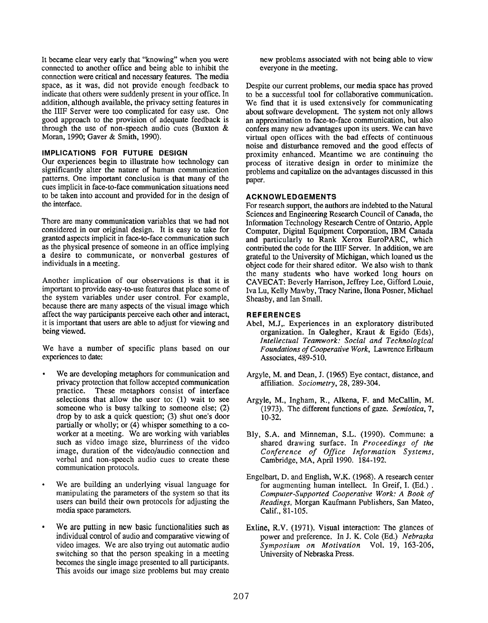It became clear very early that "knowing" when you were connected to another office and being able to inhibit the connection were critical and necessary features. The media space, as it was, did not provide enough feedback to indicate that others were suddenly present in your office. In addition, although available, the privacy setting features in the IIIF Server were too complicated for easy use. One good approach to the provision of adequate feedback is through the use of non-speech audio cues (Buxton & Moran, 1990; Gaver & Smith, 1990).

# IMPLICATIONS FOR FUTURE DESIGN

Our experiences begin to illustrate how technology can significantly alter the nature of human communication patterns. One important conclusion is that many of the cues implicit in face-to-face communication situations need to be taken into account and provided for in the design of the interface.

There are many communication variables that we had not considered in our original design. It is easy to take for granted aspects implicit in face-to-face communication such as the physical presence of someone in an office implying a desire to communicate, or nonverbal gestures of individuals in a meeting.

Another implication of our observations is that it is important to provide easy-to-use features that place some of the system variables under user control. For example, because there are many aspects of the visual image which affect the way participants perceive each other and interact, it is important that users are able to adjust for viewing and being viewed.

We have a number of specific plans based on our experiences to date:

- We are developing metaphors for communication and privacy protection that follow accepted communication practice. These metaphors consist of interface selections that allow the user to: (1) wait to see someone who is busy talking to someone else; (2) drop by to ask a quick question; (3) shut one's door partially or wholly; or (4) whisper something to a coworker at a meeting. We are working with variables such as video image size, blurriness of the video image, duration of the video/audio connection and verbal and non-speech audio cues to create these communication protocols.
- We are building an underlying visual language for manipulating the parameters of the system so that its users can build their own protocols for adjusting the media space parameters.
- We are putting in new basic functionalities such as individual control of audio and comparative viewing of video images, We are also trying out automatic audio switching so that the person speaking in a meeting becomes the single image presented to all participants. This avoids our image size problems but may create

new problems associated with not being able to view everyone in the meeting.

Despite our current problems, our media space has proved to be a successful tool for collaborative communication. We find that it is used extensively for communicating about software development. The system not only allows an approximation to face-to-face communication, but also confers many new advantages upon its users. We can have virtual open offices with the bad effects of continuous noise and disturbance removed and the good effects of proximity enhanced. Meantime we are continuing the process of iterative design in order to minimize the problems and capitalize on the advantages discussed in this paper.

#### ACKNOWLEDGEMENTS

For research support, the authors are indebted to the Natural Sciences and Engineering Research Council of Canada, the Information Technology Research Centre of Ontario, Apple Computer, Digital Equipment Corporation, IBM Canada and particularly to Rank Xerox EuroPARC, which contributed the code for the IIIF Server. In addition, we are grateful to the University of Michigan, which loaned us the object code for their shared editor. We also wish to thank the many students who have worked long hours on CAVECAT: Beverly Harrison, Jeffrey Lee, Gifford Louie, Iva Lu, Kelly Mawby, Tracy Narine, Ilona Posner, Michael Sheasby, and Ian Small.

#### REFERENCES

- Abel, M.J,. Experiences in an exploratory distributed organization, In Galegher, Kraut & Egido (Eds), Intellectual Teamwork: Social and Technological Foundations of Cooperative Work, Lawrence Erlbaum Associates, 489-510.
- Argyle, M. and Dean, J. (1965) Eye contact, distance, and affiliation. Sociometry, 28, 289-304.
- Argyle, M., Ingham, R., Alkena, F. and McCallin, M.  $(1973)$ . The different functions of gaze. Semiotica, 7, 10-32.
- Bly, S.A. and Minneman, S.L, (1990). Commune: a shared drawing surface. In Proceedings of the Conference of Office Information System, Cambridge, MA, April 1990. 184-192.
- Engelbart, D. and English, W.K, (1968). A research center for augmenting human intellect. In Greif, I. (Ed.) . Computer-Supported Cooperative Work: A Book of Readings, Morgan Kaufmann Publishers, San Mateo, Calif., 81-105.
- Exline, R.V. (1971). Visual interaction: The glances of power and preference. In J. K. Cole (Ed.) Nebraska Symposium on Motivation Vol. 19, 163-206, University of Nebraska Press.